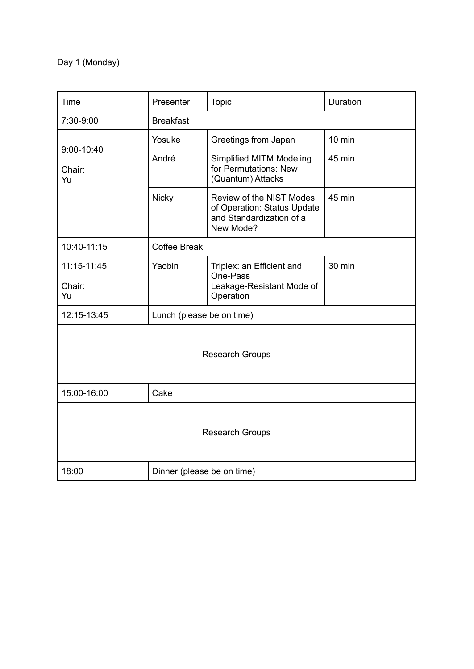## Day 1 (Monday)

| Time                       | Presenter                  | <b>Topic</b>                                                                                     | Duration |
|----------------------------|----------------------------|--------------------------------------------------------------------------------------------------|----------|
| 7:30-9:00                  | <b>Breakfast</b>           |                                                                                                  |          |
| 9:00-10:40<br>Chair:<br>Yu | Yosuke                     | Greetings from Japan                                                                             | $10$ min |
|                            | André                      | <b>Simplified MITM Modeling</b><br>for Permutations: New<br>(Quantum) Attacks                    | 45 min   |
|                            | <b>Nicky</b>               | Review of the NIST Modes<br>of Operation: Status Update<br>and Standardization of a<br>New Mode? | 45 min   |
| 10:40-11:15                | Coffee Break               |                                                                                                  |          |
| 11:15-11:45                | Yaobin                     | Triplex: an Efficient and<br>One-Pass                                                            | 30 min   |
| Chair:<br>Yu               |                            | Leakage-Resistant Mode of<br>Operation                                                           |          |
| 12:15-13:45                | Lunch (please be on time)  |                                                                                                  |          |
| <b>Research Groups</b>     |                            |                                                                                                  |          |
| 15:00-16:00                | Cake                       |                                                                                                  |          |
| <b>Research Groups</b>     |                            |                                                                                                  |          |
| 18:00                      | Dinner (please be on time) |                                                                                                  |          |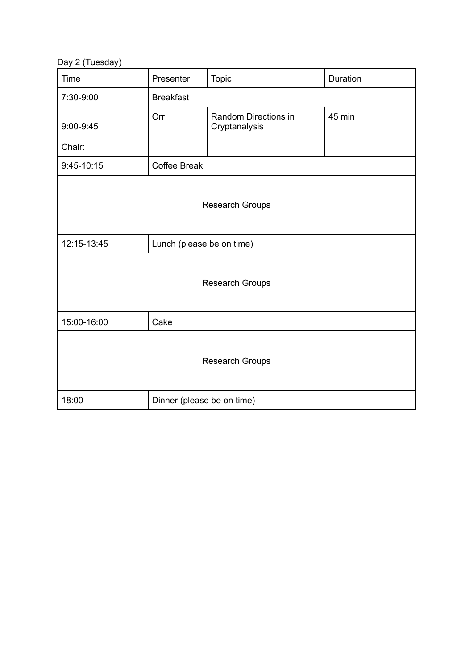Day 2 (Tuesday)

| Time                   | Presenter                  | Topic                                 | Duration |
|------------------------|----------------------------|---------------------------------------|----------|
| 7:30-9:00              | <b>Breakfast</b>           |                                       |          |
| $9:00-9:45$            | Orr                        | Random Directions in<br>Cryptanalysis | 45 min   |
| Chair:                 |                            |                                       |          |
| $9:45-10:15$           | <b>Coffee Break</b>        |                                       |          |
| <b>Research Groups</b> |                            |                                       |          |
| 12:15-13:45            | Lunch (please be on time)  |                                       |          |
|                        |                            | <b>Research Groups</b>                |          |
| 15:00-16:00            | Cake                       |                                       |          |
| <b>Research Groups</b> |                            |                                       |          |
| 18:00                  | Dinner (please be on time) |                                       |          |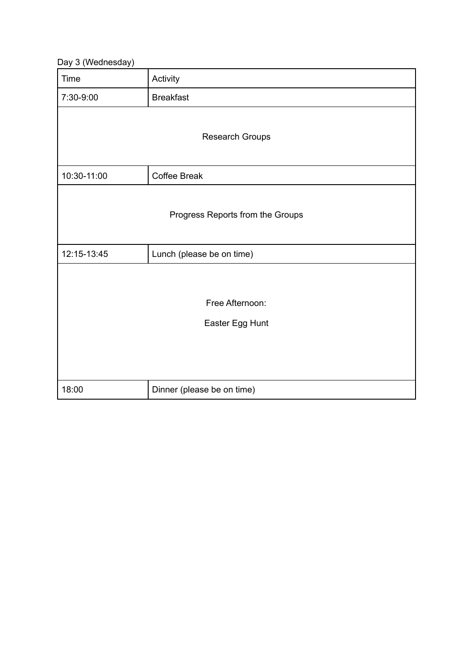Day 3 (Wednesday)

| <b>Time</b>                        | Activity                   |  |
|------------------------------------|----------------------------|--|
| 7:30-9:00                          | <b>Breakfast</b>           |  |
| <b>Research Groups</b>             |                            |  |
| 10:30-11:00                        | <b>Coffee Break</b>        |  |
| Progress Reports from the Groups   |                            |  |
| 12:15-13:45                        | Lunch (please be on time)  |  |
| Free Afternoon:<br>Easter Egg Hunt |                            |  |
| 18:00                              | Dinner (please be on time) |  |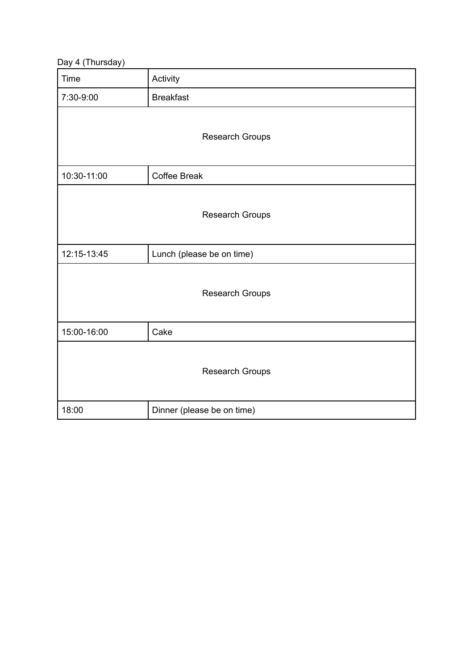Day 4 (Thursday)

| ╯<br>$\lambda$<br>,,<br><b>Time</b> | Activity                   |  |
|-------------------------------------|----------------------------|--|
| 7:30-9:00                           | <b>Breakfast</b>           |  |
| Research Groups                     |                            |  |
| 10:30-11:00                         | Coffee Break               |  |
|                                     | <b>Research Groups</b>     |  |
| 12:15-13:45                         | Lunch (please be on time)  |  |
|                                     | Research Groups            |  |
| 15:00-16:00                         | Cake                       |  |
| Research Groups                     |                            |  |
| 18:00                               | Dinner (please be on time) |  |